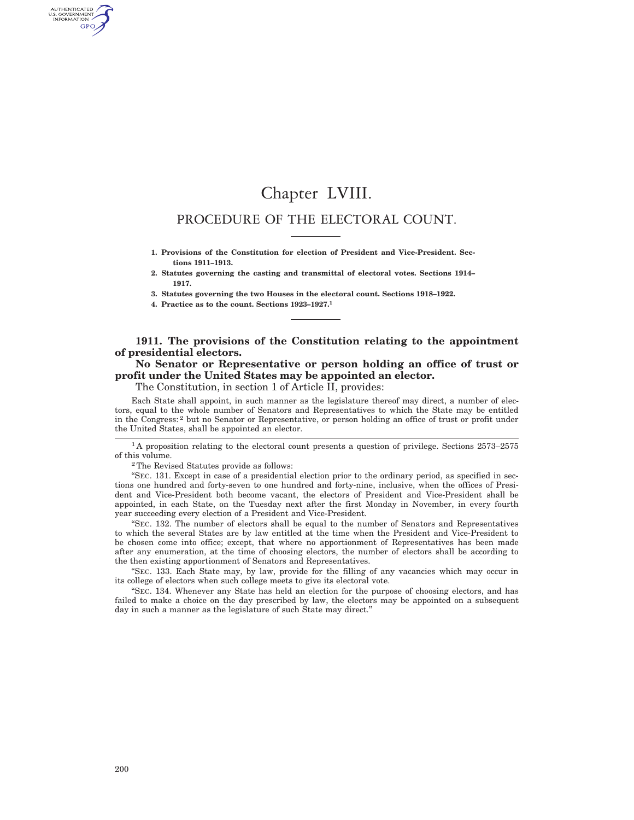# Chapter LVIII.

# PROCEDURE OF THE ELECTORAL COUNT.

**1. Provisions of the Constitution for election of President and Vice-President. Sections 1911–1913.**

**2. Statutes governing the casting and transmittal of electoral votes. Sections 1914– 1917.**

**3. Statutes governing the two Houses in the electoral count. Sections 1918–1922.**

**4. Practice as to the count. Sections 1923–1927.1**

## **1911. The provisions of the Constitution relating to the appointment of presidential electors.**

# **No Senator or Representative or person holding an office of trust or profit under the United States may be appointed an elector.**

The Constitution, in section 1 of Article II, provides:

Each State shall appoint, in such manner as the legislature thereof may direct, a number of electors, equal to the whole number of Senators and Representatives to which the State may be entitled in the Congress: 2 but no Senator or Representative, or person holding an office of trust or profit under the United States, shall be appointed an elector.

<sup>1</sup>A proposition relating to the electoral count presents a question of privilege. Sections 2573–2575 of this volume.

2The Revised Statutes provide as follows:

''SEC. 131. Except in case of a presidential election prior to the ordinary period, as specified in sections one hundred and forty-seven to one hundred and forty-nine, inclusive, when the offices of President and Vice-President both become vacant, the electors of President and Vice-President shall be appointed, in each State, on the Tuesday next after the first Monday in November, in every fourth year succeeding every election of a President and Vice-President.

''SEC. 132. The number of electors shall be equal to the number of Senators and Representatives to which the several States are by law entitled at the time when the President and Vice-President to be chosen come into office; except, that where no apportionment of Representatives has been made after any enumeration, at the time of choosing electors, the number of electors shall be according to the then existing apportionment of Senators and Representatives.

''SEC. 133. Each State may, by law, provide for the filling of any vacancies which may occur in its college of electors when such college meets to give its electoral vote.

''SEC. 134. Whenever any State has held an election for the purpose of choosing electors, and has failed to make a choice on the day prescribed by law, the electors may be appointed on a subsequent day in such a manner as the legislature of such State may direct.''

AUTHENTICATED<br>U.S. GOVERNMENT<br>INFORMATION GPO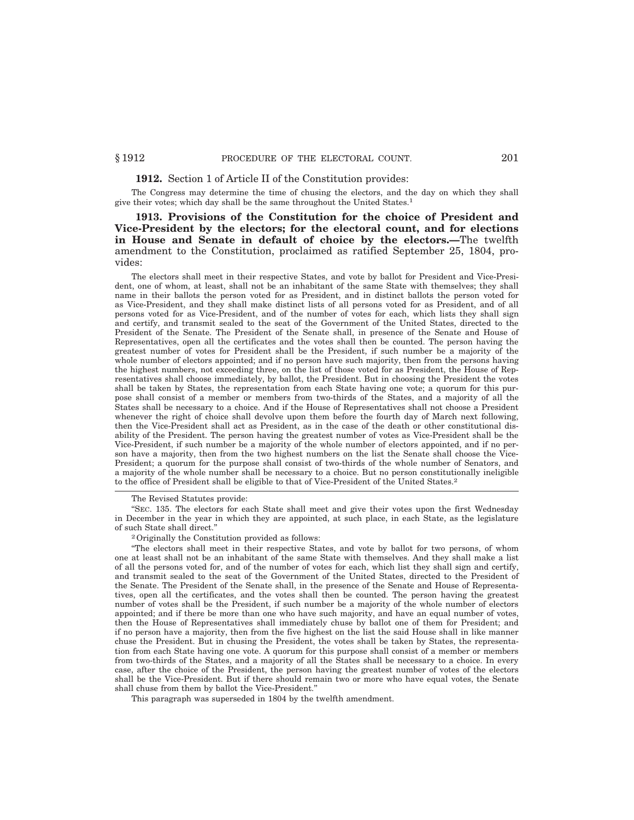### **1912.** Section 1 of Article II of the Constitution provides:

The Congress may determine the time of chusing the electors, and the day on which they shall give their votes; which day shall be the same throughout the United States.1

**1913. Provisions of the Constitution for the choice of President and Vice-President by the electors; for the electoral count, and for elections in House and Senate in default of choice by the electors.—**The twelfth amendment to the Constitution, proclaimed as ratified September 25, 1804, provides:

The electors shall meet in their respective States, and vote by ballot for President and Vice-President, one of whom, at least, shall not be an inhabitant of the same State with themselves; they shall name in their ballots the person voted for as President, and in distinct ballots the person voted for as Vice-President, and they shall make distinct lists of all persons voted for as President, and of all persons voted for as Vice-President, and of the number of votes for each, which lists they shall sign and certify, and transmit sealed to the seat of the Government of the United States, directed to the President of the Senate. The President of the Senate shall, in presence of the Senate and House of Representatives, open all the certificates and the votes shall then be counted. The person having the greatest number of votes for President shall be the President, if such number be a majority of the whole number of electors appointed; and if no person have such majority, then from the persons having the highest numbers, not exceeding three, on the list of those voted for as President, the House of Representatives shall choose immediately, by ballot, the President. But in choosing the President the votes shall be taken by States, the representation from each State having one vote; a quorum for this purpose shall consist of a member or members from two-thirds of the States, and a majority of all the States shall be necessary to a choice. And if the House of Representatives shall not choose a President whenever the right of choice shall devolve upon them before the fourth day of March next following, then the Vice-President shall act as President, as in the case of the death or other constitutional disability of the President. The person having the greatest number of votes as Vice-President shall be the Vice-President, if such number be a majority of the whole number of electors appointed, and if no person have a majority, then from the two highest numbers on the list the Senate shall choose the Vice-President; a quorum for the purpose shall consist of two-thirds of the whole number of Senators, and a majority of the whole number shall be necessary to a choice. But no person constitutionally ineligible to the office of President shall be eligible to that of Vice-President of the United States.2

The Revised Statutes provide:

''SEC. 135. The electors for each State shall meet and give their votes upon the first Wednesday in December in the year in which they are appointed, at such place, in each State, as the legislature of such State shall direct.''

2Originally the Constitution provided as follows:

''The electors shall meet in their respective States, and vote by ballot for two persons, of whom one at least shall not be an inhabitant of the same State with themselves. And they shall make a list of all the persons voted for, and of the number of votes for each, which list they shall sign and certify, and transmit sealed to the seat of the Government of the United States, directed to the President of the Senate. The President of the Senate shall, in the presence of the Senate and House of Representatives, open all the certificates, and the votes shall then be counted. The person having the greatest number of votes shall be the President, if such number be a majority of the whole number of electors appointed; and if there be more than one who have such majority, and have an equal number of votes, then the House of Representatives shall immediately chuse by ballot one of them for President; and if no person have a majority, then from the five highest on the list the said House shall in like manner chuse the President. But in chusing the President, the votes shall be taken by States, the representation from each State having one vote. A quorum for this purpose shall consist of a member or members from two-thirds of the States, and a majority of all the States shall be necessary to a choice. In every case, after the choice of the President, the person having the greatest number of votes of the electors shall be the Vice-President. But if there should remain two or more who have equal votes, the Senate shall chuse from them by ballot the Vice-President.''

This paragraph was superseded in 1804 by the twelfth amendment.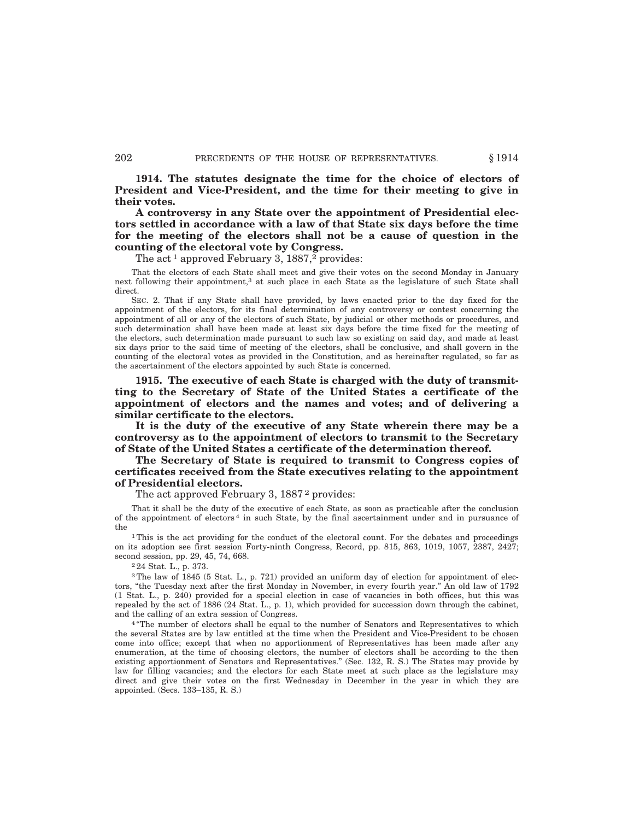**1914. The statutes designate the time for the choice of electors of President and Vice-President, and the time for their meeting to give in their votes.**

**A controversy in any State over the appointment of Presidential electors settled in accordance with a law of that State six days before the time for the meeting of the electors shall not be a cause of question in the counting of the electoral vote by Congress.**

The act<sup>1</sup> approved February 3,  $1887<sup>2</sup>$  provides:

That the electors of each State shall meet and give their votes on the second Monday in January next following their appointment,<sup>3</sup> at such place in each State as the legislature of such State shall direct.

SEC. 2. That if any State shall have provided, by laws enacted prior to the day fixed for the appointment of the electors, for its final determination of any controversy or contest concerning the appointment of all or any of the electors of such State, by judicial or other methods or procedures, and such determination shall have been made at least six days before the time fixed for the meeting of the electors, such determination made pursuant to such law so existing on said day, and made at least six days prior to the said time of meeting of the electors, shall be conclusive, and shall govern in the counting of the electoral votes as provided in the Constitution, and as hereinafter regulated, so far as the ascertainment of the electors appointed by such State is concerned.

**1915. The executive of each State is charged with the duty of transmitting to the Secretary of State of the United States a certificate of the appointment of electors and the names and votes; and of delivering a similar certificate to the electors.**

**It is the duty of the executive of any State wherein there may be a controversy as to the appointment of electors to transmit to the Secretary of State of the United States a certificate of the determination thereof.**

**The Secretary of State is required to transmit to Congress copies of certificates received from the State executives relating to the appointment of Presidential electors.**

The act approved February 3, 1887<sup>2</sup> provides:

That it shall be the duty of the executive of each State, as soon as practicable after the conclusion of the appointment of electors 4 in such State, by the final ascertainment under and in pursuance of the

<sup>1</sup>This is the act providing for the conduct of the electoral count. For the debates and proceedings on its adoption see first session Forty-ninth Congress, Record, pp. 815, 863, 1019, 1057, 2387, 2427; second session, pp. 29, 45, 74, 668.

2 24 Stat. L., p. 373.

<sup>3</sup>The law of 1845 (5 Stat. L., p. 721) provided an uniform day of election for appointment of electors, "the Tuesday next after the first Monday in November, in every fourth year." An old law of 1792 (1 Stat. L., p. 240) provided for a special election in case of vacancies in both offices, but this was repealed by the act of 1886 (24 Stat. L., p. 1), which provided for succession down through the cabinet, and the calling of an extra session of Congress.

<sup>4</sup> "The number of electors shall be equal to the number of Senators and Representatives to which the several States are by law entitled at the time when the President and Vice-President to be chosen come into office; except that when no apportionment of Representatives has been made after any enumeration, at the time of choosing electors, the number of electors shall be according to the then existing apportionment of Senators and Representatives.'' (Sec. 132, R. S.) The States may provide by law for filling vacancies; and the electors for each State meet at such place as the legislature may direct and give their votes on the first Wednesday in December in the year in which they are appointed. (Secs. 133–135, R. S.)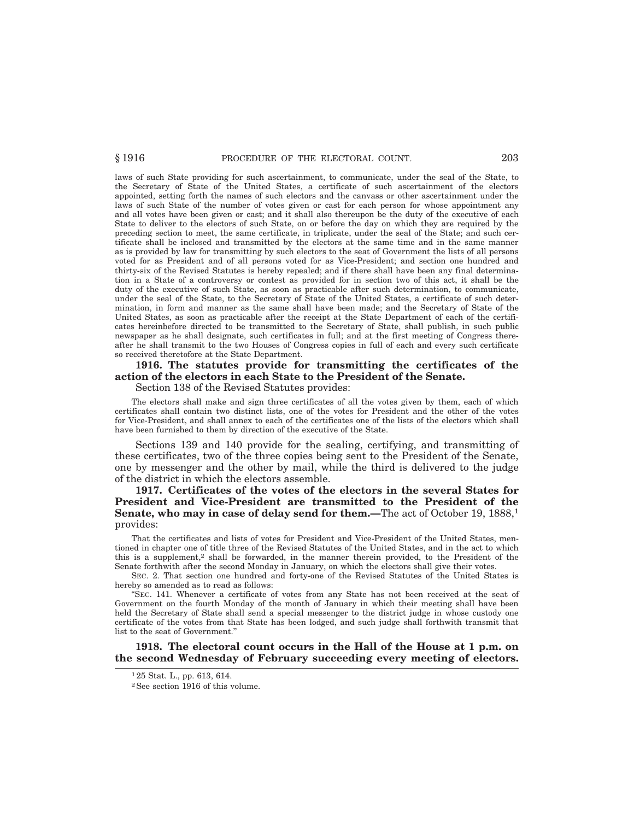laws of such State providing for such ascertainment, to communicate, under the seal of the State, to the Secretary of State of the United States, a certificate of such ascertainment of the electors appointed, setting forth the names of such electors and the canvass or other ascertainment under the laws of such State of the number of votes given or cast for each person for whose appointment any and all votes have been given or cast; and it shall also thereupon be the duty of the executive of each State to deliver to the electors of such State, on or before the day on which they are required by the preceding section to meet, the same certificate, in triplicate, under the seal of the State; and such certificate shall be inclosed and transmitted by the electors at the same time and in the same manner as is provided by law for transmitting by such electors to the seat of Government the lists of all persons voted for as President and of all persons voted for as Vice-President; and section one hundred and thirty-six of the Revised Statutes is hereby repealed; and if there shall have been any final determination in a State of a controversy or contest as provided for in section two of this act, it shall be the duty of the executive of such State, as soon as practicable after such determination, to communicate, under the seal of the State, to the Secretary of State of the United States, a certificate of such determination, in form and manner as the same shall have been made; and the Secretary of State of the United States, as soon as practicable after the receipt at the State Department of each of the certificates hereinbefore directed to be transmitted to the Secretary of State, shall publish, in such public newspaper as he shall designate, such certificates in full; and at the first meeting of Congress thereafter he shall transmit to the two Houses of Congress copies in full of each and every such certificate so received theretofore at the State Department.

# **1916. The statutes provide for transmitting the certificates of the action of the electors in each State to the President of the Senate.**

### Section 138 of the Revised Statutes provides:

The electors shall make and sign three certificates of all the votes given by them, each of which certificates shall contain two distinct lists, one of the votes for President and the other of the votes for Vice-President, and shall annex to each of the certificates one of the lists of the electors which shall have been furnished to them by direction of the executive of the State.

Sections 139 and 140 provide for the sealing, certifying, and transmitting of these certificates, two of the three copies being sent to the President of the Senate, one by messenger and the other by mail, while the third is delivered to the judge of the district in which the electors assemble.

**1917. Certificates of the votes of the electors in the several States for President and Vice-President are transmitted to the President of the Senate, who may in case of delay send for them.—The act of October 19, 1888,<sup>1</sup>** provides:

That the certificates and lists of votes for President and Vice-President of the United States, mentioned in chapter one of title three of the Revised Statutes of the United States, and in the act to which this is a supplement,2 shall be forwarded, in the manner therein provided, to the President of the Senate forthwith after the second Monday in January, on which the electors shall give their votes.

SEC. 2. That section one hundred and forty-one of the Revised Statutes of the United States is hereby so amended as to read as follows:

''SEC. 141. Whenever a certificate of votes from any State has not been received at the seat of Government on the fourth Monday of the month of January in which their meeting shall have been held the Secretary of State shall send a special messenger to the district judge in whose custody one certificate of the votes from that State has been lodged, and such judge shall forthwith transmit that list to the seat of Government.''

**1918. The electoral count occurs in the Hall of the House at 1 p.m. on the second Wednesday of February succeeding every meeting of electors.**

<sup>1</sup> 25 Stat. L., pp. 613, 614.

<sup>2</sup>See section 1916 of this volume.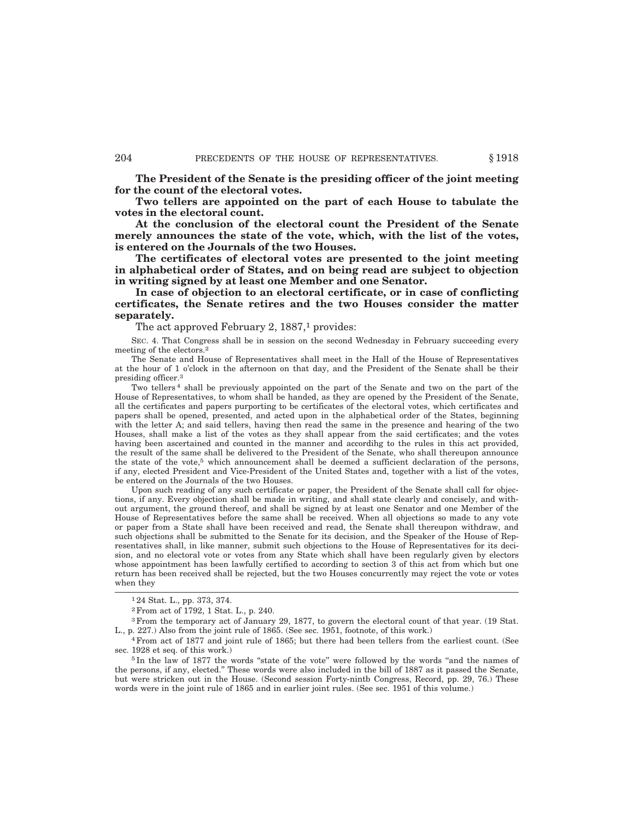**The President of the Senate is the presiding officer of the joint meeting for the count of the electoral votes.**

**Two tellers are appointed on the part of each House to tabulate the votes in the electoral count.**

**At the conclusion of the electoral count the President of the Senate merely announces the state of the vote, which, with the list of the votes, is entered on the Journals of the two Houses.**

**The certificates of electoral votes are presented to the joint meeting in alphabetical order of States, and on being read are subject to objection in writing signed by at least one Member and one Senator.**

**In case of objection to an electoral certificate, or in case of conflicting certificates, the Senate retires and the two Houses consider the matter separately.**

The act approved February 2,  $1887<sup>1</sup>$  provides:

SEC. 4. That Congress shall be in session on the second Wednesday in February succeeding every meeting of the electors.2

The Senate and House of Representatives shall meet in the Hall of the House of Representatives at the hour of 1 o'clock in the afternoon on that day, and the President of the Senate shall be their presiding officer.3

Two tellers 4 shall be previously appointed on the part of the Senate and two on the part of the House of Representatives, to whom shall be handed, as they are opened by the President of the Senate, all the certificates and papers purporting to be certificates of the electoral votes, which certificates and papers shall be opened, presented, and acted upon in the alphabetical order of the States, beginning with the letter A; and said tellers, having then read the same in the presence and hearing of the two Houses, shall make a list of the votes as they shall appear from the said certificates; and the votes having been ascertained and counted in the manner and accordihg to the rules in this act provided, the result of the same shall be delivered to the President of the Senate, who shall thereupon announce the state of the vote,<sup>5</sup> which announcement shall be deemed a sufficient declaration of the persons, if any, elected President and Vice-President of the United States and, together with a list of the votes, be entered on the Journals of the two Houses.

Upon such reading of any such certificate or paper, the President of the Senate shall call for objections, if any. Every objection shall be made in writing, and shall state clearly and concisely, and without argument, the ground thereof, and shall be signed by at least one Senator and one Member of the House of Representatives before the same shall be received. When all objections so made to any vote or paper from a State shall have been received and read, the Senate shall thereupon withdraw, and such objections shall be submitted to the Senate for its decision, and the Speaker of the House of Representatives shall, in like manner, submit such objections to the House of Representatives for its decision, and no electoral vote or votes from any State which shall have been regularly given by electors whose appointment has been lawfully certified to according to section 3 of this act from which but one return has been received shall be rejected, but the two Houses concurrently may reject the vote or votes when they

<sup>1</sup> 24 Stat. L., pp. 373, 374.

<sup>2</sup>From act of 1792, 1 Stat. L., p. 240.

<sup>3</sup>From the temporary act of January 29, 1877, to govern the electoral count of that year. (19 Stat. L., p. 227.) Also from the joint rule of 1865. (See sec. 1951, footnote, of this work.)

<sup>4</sup>From act of 1877 and joint rule of 1865; but there had been tellers from the earliest count. (See sec. 1928 et seq. of this work.)

<sup>&</sup>lt;sup>5</sup> In the law of 1877 the words "state of the vote" were followed by the words "and the names of the persons, if any, elected.'' These words were also included in the bill of 1887 as it passed the Senate, but were stricken out in the House. (Second session Forty-nintb Congress, Record, pp. 29, 76.) These words were in the joint rule of 1865 and in earlier joint rules. (See sec. 1951 of this volume.)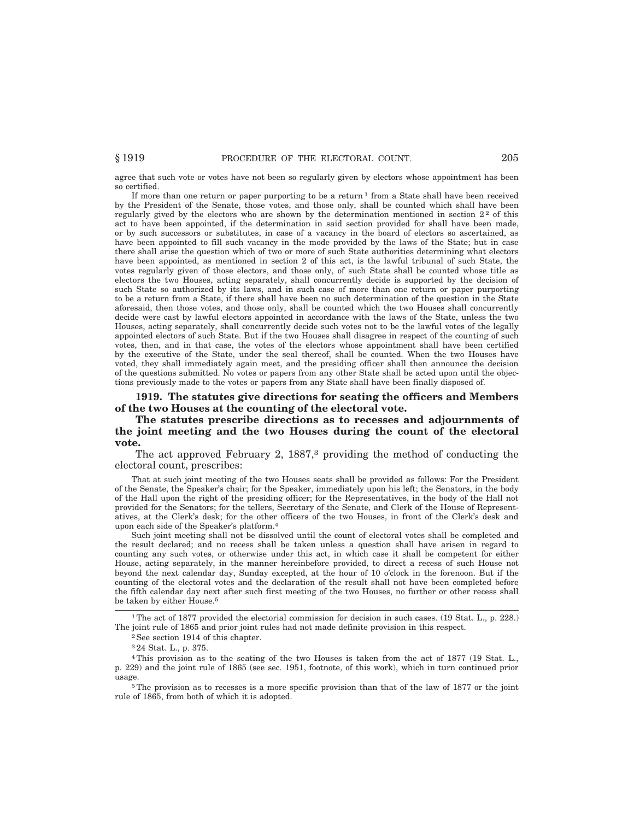agree that such vote or votes have not been so regularly given by electors whose appointment has been so certified.

If more than one return or paper purporting to be a return  $1$  from a State shall have been received by the President of the Senate, those votes, and those only, shall be counted which shall have been regularly gived by the electors who are shown by the determination mentioned in section  $2<sup>2</sup>$  of this act to have been appointed, if the determination in said section provided for shall have been made, or by such successors or substitutes, in case of a vacancy in the board of electors so ascertained, as have been appointed to fill such vacancy in the mode provided by the laws of the State; but in case there shall arise the question which of two or more of such State authorities determining what electors have been appointed, as mentioned in section 2 of this act, is the lawful tribunal of such State, the votes regularly given of those electors, and those only, of such State shall be counted whose title as electors the two Houses, acting separately, shall concurrently decide is supported by the decision of such State so authorized by its laws, and in such case of more than one return or paper purporting to be a return from a State, if there shall have been no such determination of the question in the State aforesaid, then those votes, and those only, shall be counted which the two Houses shall concurrently decide were cast by lawful electors appointed in accordance with the laws of the State, unless the two Houses, acting separately, shall concurrently decide such votes not to be the lawful votes of the legally appointed electors of such State. But if the two Houses shall disagree in respect of the counting of such votes, then, and in that case, the votes of the electors whose appointment shall have been certified by the executive of the State, under the seal thereof, shall be counted. When the two Houses have voted, they shall immediately again meet, and the presiding officer shall then announce the decision of the questions submitted. No votes or papers from any other State shall be acted upon until the objections previously made to the votes or papers from any State shall have been finally disposed of.

**1919. The statutes give directions for seating the officers and Members of the two Houses at the counting of the electoral vote.**

**The statutes prescribe directions as to recesses and adjournments of the joint meeting and the two Houses during the count of the electoral vote.**

The act approved February 2,  $1887<sup>3</sup>$  providing the method of conducting the electoral count, prescribes:

That at such joint meeting of the two Houses seats shall be provided as follows: For the President of the Senate, the Speaker's chair; for the Speaker, immediately upon his left; the Senators, in the body of the Hall upon the right of the presiding officer; for the Representatives, in the body of the Hall not provided for the Senators; for the tellers, Secretary of the Senate, and Clerk of the House of Representatives, at the Clerk's desk; for the other officers of the two Houses, in front of the Clerk's desk and upon each side of the Speaker's platform.4

Such joint meeting shall not be dissolved until the count of electoral votes shall be completed and the result declared; and no recess shall be taken unless a question shall have arisen in regard to counting any such votes, or otherwise under this act, in which case it shall be competent for either House, acting separately, in the manner hereinbefore provided, to direct a recess of such House not beyond the next calendar day, Sunday excepted, at the hour of 10 o'clock in the forenoon. But if the counting of the electoral votes and the declaration of the result shall not have been completed before the fifth calendar day next after such first meeting of the two Houses, no further or other recess shall be taken by either House.5

1The act of 1877 provided the electorial commission for decision in such cases. (19 Stat. L., p. 228.) The joint rule of 1865 and prior joint rules had not made definite provision in this respect.

5The provision as to recesses is a more specific provision than that of the law of 1877 or the joint rule of 1865, from both of which it is adopted.

<sup>2</sup>See section 1914 of this chapter.

<sup>3</sup> 24 Stat. L., p. 375.

<sup>4</sup>This provision as to the seating of the two Houses is taken from the act of 1877 (19 Stat. L., p. 229) and the joint rule of 1865 (see sec. 1951, footnote, of this work), which in turn continued prior usage.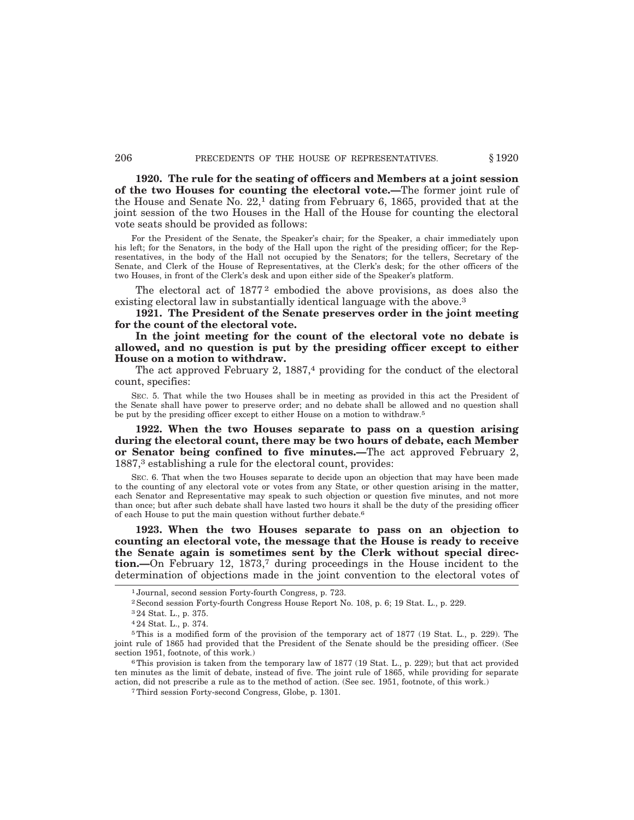**1920. The rule for the seating of officers and Members at a joint session of the two Houses for counting the electoral vote.—**The former joint rule of the House and Senate No. 22,1 dating from February 6, 1865, provided that at the joint session of the two Houses in the Hall of the House for counting the electoral vote seats should be provided as follows:

For the President of the Senate, the Speaker's chair; for the Speaker, a chair immediately upon his left; for the Senators, in the body of the Hall upon the right of the presiding officer; for the Representatives, in the body of the Hall not occupied by the Senators; for the tellers, Secretary of the Senate, and Clerk of the House of Representatives, at the Clerk's desk; for the other officers of the two Houses, in front of the Clerk's desk and upon either side of the Speaker's platform.

The electoral act of 1877<sup>2</sup> embodied the above provisions, as does also the existing electoral law in substantially identical language with the above.<sup>3</sup>

**1921. The President of the Senate preserves order in the joint meeting for the count of the electoral vote.**

**In the joint meeting for the count of the electoral vote no debate is allowed, and no question is put by the presiding officer except to either House on a motion to withdraw.**

The act approved February 2,  $1887<sup>4</sup>$  providing for the conduct of the electoral count, specifies:

SEC. 5. That while the two Houses shall be in meeting as provided in this act the President of the Senate shall have power to preserve order; and no debate shall be allowed and no question shall be put by the presiding officer except to either House on a motion to withdraw.5

**1922. When the two Houses separate to pass on a question arising during the electoral count, there may be two hours of debate, each Member or Senator being confined to five minutes.—**The act approved February 2, 1887,3 establishing a rule for the electoral count, provides:

SEC. 6. That when the two Houses separate to decide upon an objection that may have been made to the counting of any electoral vote or votes from any State, or other question arising in the matter, each Senator and Representative may speak to such objection or question five minutes, and not more than once; but after such debate shall have lasted two hours it shall be the duty of the presiding officer of each House to put the main question without further debate.6

**1923. When the two Houses separate to pass on an objection to counting an electoral vote, the message that the House is ready to receive the Senate again is sometimes sent by the Clerk without special direction.—**On February 12, 1873,<sup>7</sup> during proceedings in the House incident to the determination of objections made in the joint convention to the electoral votes of

<sup>1</sup> Journal, second session Forty-fourth Congress, p. 723.

<sup>2</sup>Second session Forty-fourth Congress House Report No. 108, p. 6; 19 Stat. L., p. 229.

<sup>3</sup> 24 Stat. L., p. 375.

<sup>4</sup> 24 Stat. L., p. 374.

<sup>5</sup>This is a modified form of the provision of the temporary act of 1877 (19 Stat. L., p. 229). The joint rule of 1865 had provided that the President of the Senate should be the presiding officer. (See section 1951, footnote, of this work.)

<sup>6</sup>This provision is taken from the temporary law of 1877 (19 Stat. L., p. 229); but that act provided ten minutes as the limit of debate, instead of five. The joint rule of 1865, while providing for separate action, did not prescribe a rule as to the method of action. (See sec. 1951, footnote, of this work.)

<sup>7</sup>Third session Forty-second Congress, Globe, p. 1301.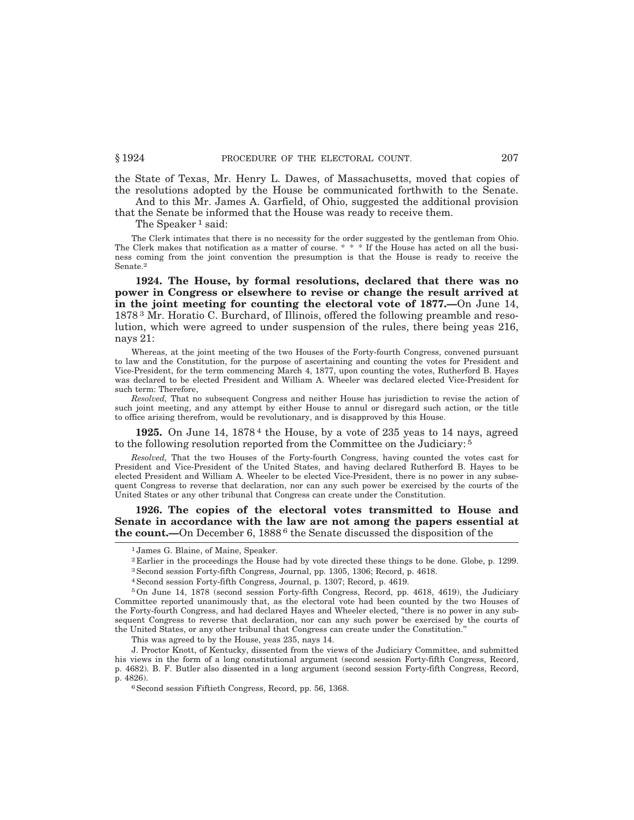the State of Texas, Mr. Henry L. Dawes, of Massachusetts, moved that copies of the resolutions adopted by the House be communicated forthwith to the Senate. And to this Mr. James A. Garfield, of Ohio, suggested the additional provision

that the Senate be informed that the House was ready to receive them.

The Speaker<sup>1</sup> said:

The Clerk intimates that there is no necessity for the order suggested by the gentleman from Ohio. The Clerk makes that notification as a matter of course. \* \* \* If the House has acted on all the business coming from the joint convention the presumption is that the House is ready to receive the Senate.2

**1924. The House, by formal resolutions, declared that there was no power in Congress or elsewhere to revise or change the result arrived at in the joint meeting for counting the electoral vote of 1877.—**On June 14, 1878 3 Mr. Horatio C. Burchard, of Illinois, offered the following preamble and resolution, which were agreed to under suspension of the rules, there being yeas 216, nays 21:

Whereas, at the joint meeting of the two Houses of the Forty-fourth Congress, convened pursuant to law and the Constitution, for the purpose of ascertaining and counting the votes for President and Vice-President, for the term commencing March 4, 1877, upon counting the votes, Rutherford B. Hayes was declared to be elected President and William A. Wheeler was declared elected Vice-President for such term: Therefore,

*Resolved,* That no subsequent Congress and neither House has jurisdiction to revise the action of such joint meeting, and any attempt by either House to annul or disregard such action, or the title to office arising therefrom, would be revolutionary, and is disapproved by this House.

**1925.** On June 14, 1878 4 the House, by a vote of 235 yeas to 14 nays, agreed to the following resolution reported from the Committee on the Judiciary: 5

*Resolved,* That the two Houses of the Forty-fourth Congress, having counted the votes cast for President and Vice-President of the United States, and having declared Rutherford B. Hayes to be elected President and William A. Wheeler to be elected Vice-President, there is no power in any subsequent Congress to reverse that declaration, nor can any such power be exercised by the courts of the United States or any other tribunal that Congress can create under the Constitution.

### **1926. The copies of the electoral votes transmitted to House and Senate in accordance with the law are not among the papers essential at the count.—**On December 6, 1888<sup>6</sup> the Senate discussed the disposition of the

- 2 Earlier in the proceedings the House had by vote directed these things to be done. Globe, p. 1299. 3Second session Forty-fifth Congress, Journal, pp. 1305, 1306; Record, p. 4618.
- 
- 4Second session Forty-fifth Congress, Journal, p. 1307; Record, p. 4619.

This was agreed to by the House, yeas 235, nays 14.

J. Proctor Knott, of Kentucky, dissented from the views of the Judiciary Committee, and submitted his views in the form of a long constitutional argument (second session Forty-fifth Congress, Record, p. 4682). B. F. Butler also dissented in a long argument (second session Forty-fifth Congress, Record, p. 4826).

6Second session Fiftieth Congress, Record, pp. 56, 1368.

<sup>1</sup> James G. Blaine, of Maine, Speaker.

<sup>5</sup>On June 14, 1878 (second session Forty-fifth Congress, Record, pp. 4618, 4619), the Judiciary Committee reported unanimously that, as the electoral vote had been counted by the two Houses of the Forty-fourth Congress, and had declared Hayes and Wheeler elected, ''there is no power in any subsequent Congress to reverse that declaration, nor can any such power be exercised by the courts of the United States, or any other tribunal that Congress can create under the Constitution.''